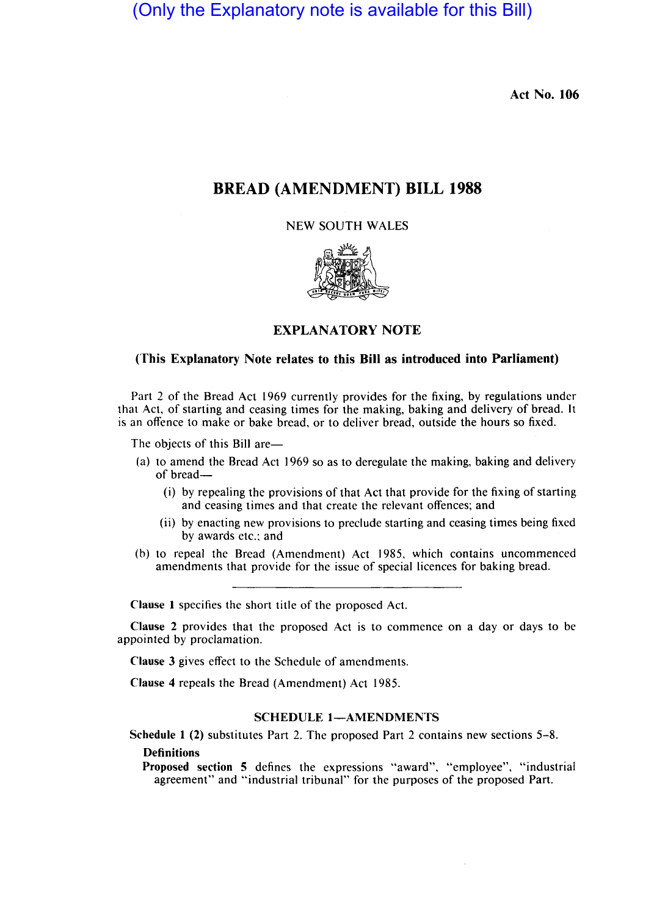(Only the Explanatory note is available for this Bill)

Act No. 106

# BREAD (AMENDMENT) BILL 1988

NEW SOUTH WALES



## EXPLANATORY NOTE

#### (This Explanatory Note relates to this Bill as introduced into Parliament)

Part 2 of the Bread Act 1969 currently provides for the fixing, by regulations under that Act, of starting and ceasing times for the making, baking and delivery of bread. It is an offence to make or bake bread, or to deliver bread, outside the hours so fixed.

The objects of this Bill are-

- (a) to amend the Bread Act 1969 so as to deregulate the making, baking and delivery of bread-
	- (i) by repealing the provisions of that Act that provide for the fixing of starting and ceasing times and that create the relevant offences; and
	- (ii) by enacting new provisions to preclude starting and ceasing times being fixed by awards etc.; and
- (b) to repeal the Bread (Amendment) Act 1985, which contains uncommenced amendments that provide for the issue of special licences for baking bread.

Clause I specifies the short title of the proposed Act.

Clause 2 provides that the proposed Act is to commence on a day or days to be appointed by proclamation.

Clause 3 gives effect to the Schedule of amendments.

Clause 4 repeals the Bread (Amendment) Act 1985.

## SCHEDULE 1-AMENDMENTS

Schedule I (2) substitutes Part 2. The proposed Part 2 contains new sections 5-8. **Definitions** 

Proposed section 5 defines the expressions "award", "employee", "industrial agreement" and "industrial tribunal" for the purposes of the proposed Part.